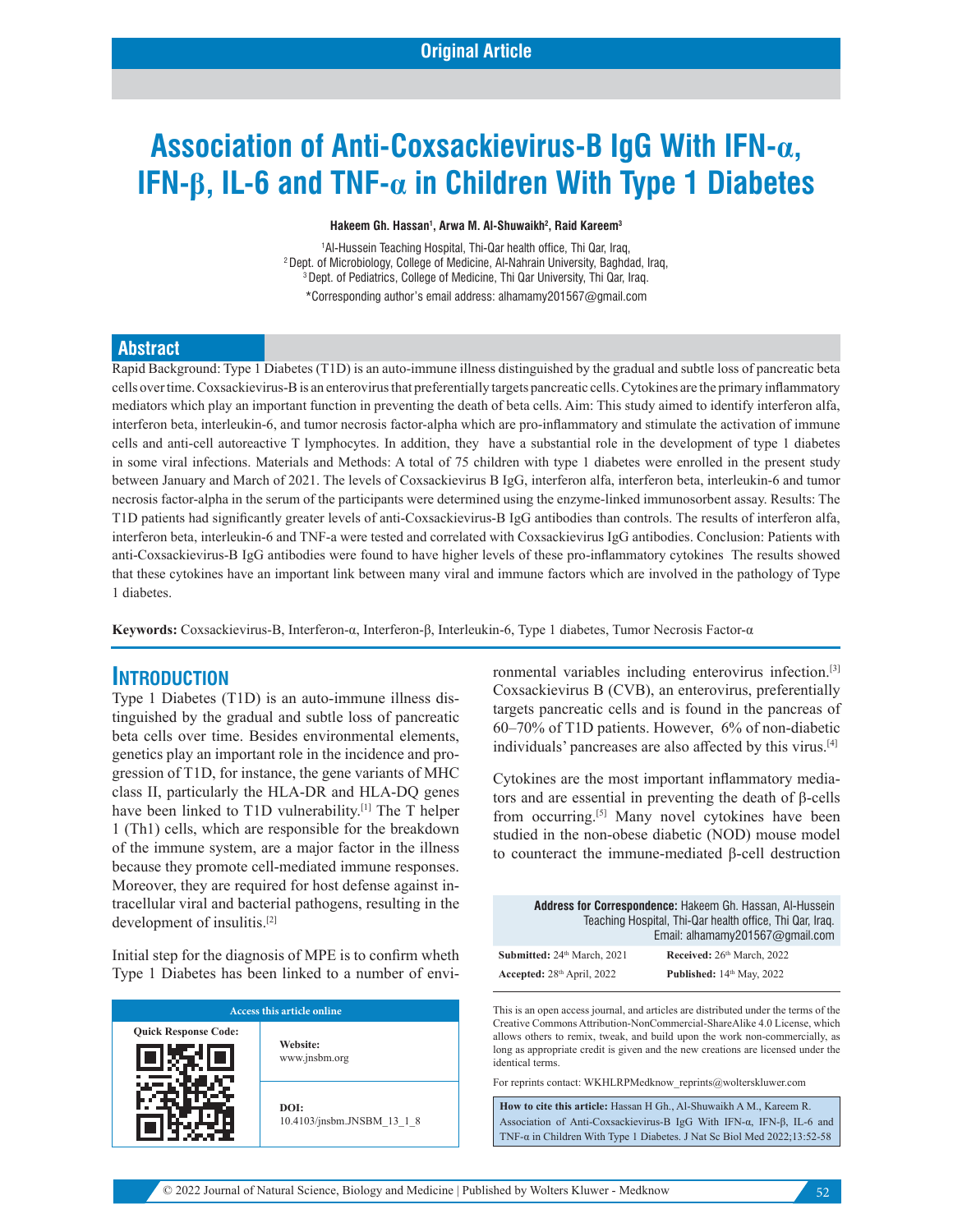# **Association of Anti-Coxsackievirus-B IgG With IFN-α, IFN-β, IL-6 and TNF-α in Children With Type 1 Diabetes**

#### **Hakeem Gh. Hassan1 , Arwa M. Al-Shuwaikh2 , Raid Kareem3**

<sup>1</sup>Al-Hussein Teaching Hospital, Thi-Qar health office, Thi Qar, Irag. <sup>2</sup> Dept. of Microbiology, College of Medicine, Al-Nahrain University, Baghdad, Iraq, 3 Dept. of Pediatrics, College of Medicine, Thi Qar University, Thi Qar, Iraq. \*Corresponding author's email address: alhamamy201567@gmail.com

#### **Abstract**

Rapid Background: Type 1 Diabetes (T1D) is an auto-immune illness distinguished by the gradual and subtle loss of pancreatic beta cells over time. Coxsackievirus-B is an enterovirus that preferentially targets pancreatic cells. Cytokines are the primary inflammatory mediators which play an important function in preventing the death of beta cells. Aim: This study aimed to identify interferon alfa, interferon beta, interleukin-6, and tumor necrosis factor-alpha which are pro-inflammatory and stimulate the activation of immune cells and anti-cell autoreactive T lymphocytes. In addition, they have a substantial role in the development of type 1 diabetes in some viral infections. Materials and Methods: A total of 75 children with type 1 diabetes were enrolled in the present study between January and March of 2021. The levels of Coxsackievirus B IgG, interferon alfa, interferon beta, interleukin-6 and tumor necrosis factor-alpha in the serum of the participants were determined using the enzyme-linked immunosorbent assay. Results: The T1D patients had significantly greater levels of anti-Coxsackievirus-B IgG antibodies than controls. The results of interferon alfa, interferon beta, interleukin-6 and TNF-a were tested and correlated with Coxsackievirus IgG antibodies. Conclusion: Patients with anti-Coxsackievirus-B IgG antibodies were found to have higher levels of these pro-inflammatory cytokines The results showed that these cytokines have an important link between many viral and immune factors which are involved in the pathology of Type 1 diabetes.

**Keywords:** Coxsackievirus-B, Interferon-α, Interferon-β, Interleukin-6, Type 1 diabetes, Tumor Necrosis Factor-α

### **INTRODUCTION**

Type 1 Diabetes (T1D) is an auto-immune illness distinguished by the gradual and subtle loss of pancreatic beta cells over time. Besides environmental elements, genetics play an important role in the incidence and progression of T1D, for instance, the gene variants of MHC class II, particularly the HLA-DR and HLA-DQ genes have been linked to T1D vulnerability.<sup>[1]</sup> The T helper 1 (Th1) cells, which are responsible for the breakdown of the immune system, are a major factor in the illness because they promote cell-mediated immune responses. Moreover, they are required for host defense against intracellular viral and bacterial pathogens, resulting in the development of insulitis.[2]

Initial step for the diagnosis of MPE is to confirm wheth Type 1 Diabetes has been linked to a number of envi-

| Access this article online  |                                    |  |  |  |
|-----------------------------|------------------------------------|--|--|--|
| <b>Quick Response Code:</b> | Website:<br>www.jnsbm.org          |  |  |  |
|                             | DOI:<br>10.4103/jnsbm.JNSBM 13 1 8 |  |  |  |

ronmental variables including enterovirus infection.[3] Coxsackievirus B (CVB), an enterovirus, preferentially targets pancreatic cells and is found in the pancreas of 60–70% of T1D patients. However, 6% of non-diabetic individuals' pancreases are also affected by this virus.[4]

Cytokines are the most important inflammatory mediators and are essential in preventing the death of β-cells from occurring.[5] Many novel cytokines have been studied in the non-obese diabetic (NOD) mouse model to counteract the immune-mediated β-cell destruction

|                             | Address for Correspondence: Hakeem Gh. Hassan, Al-Hussein<br>Teaching Hospital, Thi-Qar health office, Thi Qar, Iraq.<br>Email: alhamamy201567@gmail.com |
|-----------------------------|----------------------------------------------------------------------------------------------------------------------------------------------------------|
| Submitted: 24th March, 2021 | Received: 26th March, 2022                                                                                                                               |
| Accepted: 28th April, 2022  | Published: 14th May, 2022                                                                                                                                |

This is an open access journal, and articles are distributed under the terms of the Creative Commons Attribution-NonCommercial-ShareAlike 4.0 License, which allows others to remix, tweak, and build upon the work non-commercially, as long as appropriate credit is given and the new creations are licensed under the identical terms.

For reprints contact: WKHLRPMedknow\_reprints@wolterskluwer.com

**How to cite this article:** Hassan H Gh., Al-Shuwaikh A M., Kareem R. Association of Anti-Coxsackievirus-B IgG With IFN-α, IFN-β, IL-6 and TNF-α in Children With Type 1 Diabetes. J Nat Sc Biol Med 2022;13:52-58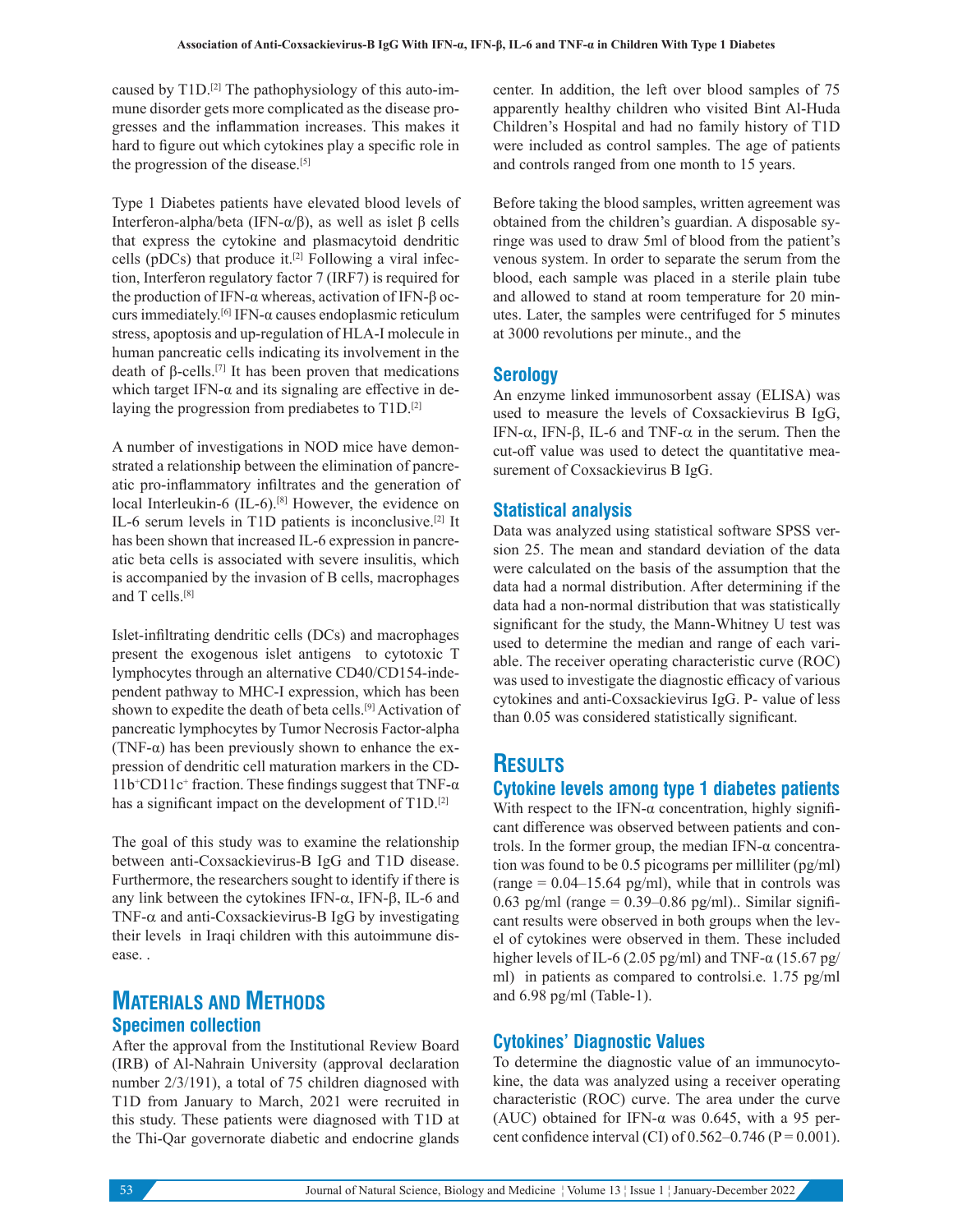caused by  $T1D$ .<sup>[2]</sup> The pathophysiology of this auto-immune disorder gets more complicated as the disease progresses and the inflammation increases. This makes it hard to figure out which cytokines play a specific role in the progression of the disease.[5]

Type 1 Diabetes patients have elevated blood levels of Interferon-alpha/beta (IFN-α/β), as well as islet β cells that express the cytokine and plasmacytoid dendritic cells ( $pDCs$ ) that produce it.<sup>[2]</sup> Following a viral infection, Interferon regulatory factor 7 (IRF7) is required for the production of IFN-α whereas, activation of IFN-β occurs immediately.[6] IFN-α causes endoplasmic reticulum stress, apoptosis and up-regulation of HLA-I molecule in human pancreatic cells indicating its involvement in the death of β-cells.<sup>[7]</sup> It has been proven that medications which target IFN- $\alpha$  and its signaling are effective in delaying the progression from prediabetes to T1D.<sup>[2]</sup>

A number of investigations in NOD mice have demonstrated a relationship between the elimination of pancreatic pro-inflammatory infiltrates and the generation of local Interleukin-6 (IL-6).<sup>[8]</sup> However, the evidence on IL-6 serum levels in T1D patients is inconclusive.[2] It has been shown that increased IL-6 expression in pancreatic beta cells is associated with severe insulitis, which is accompanied by the invasion of B cells, macrophages and T cells.[8]

Islet-infiltrating dendritic cells (DCs) and macrophages present the exogenous islet antigens to cytotoxic T lymphocytes through an alternative CD40/CD154-independent pathway to MHC-I expression, which has been shown to expedite the death of beta cells.<sup>[9]</sup> Activation of pancreatic lymphocytes by Tumor Necrosis Factor-alpha (TNF- $\alpha$ ) has been previously shown to enhance the expression of dendritic cell maturation markers in the CD- $11b$ <sup>+</sup>CD11c<sup>+</sup> fraction. These findings suggest that TNF- $\alpha$ has a significant impact on the development of T1D.<sup>[2]</sup>

The goal of this study was to examine the relationship between anti-Coxsackievirus-B IgG and T1D disease. Furthermore, the researchers sought to identify if there is any link between the cytokines IFN- $\alpha$ , IFN-β, IL-6 and TNF- $\alpha$  and anti-Coxsackievirus-B IgG by investigating their levels in Iraqi children with this autoimmune disease. .

# **MATERIALS AND METHODS Specimen collection**

After the approval from the Institutional Review Board (IRB) of Al-Nahrain University (approval declaration number 2/3/191), a total of 75 children diagnosed with T1D from January to March, 2021 were recruited in this study. These patients were diagnosed with T1D at the Thi-Qar governorate diabetic and endocrine glands center. In addition, the left over blood samples of 75 apparently healthy children who visited Bint Al-Huda Children's Hospital and had no family history of T1D were included as control samples. The age of patients and controls ranged from one month to 15 years.

Before taking the blood samples, written agreement was obtained from the children's guardian. A disposable syringe was used to draw 5ml of blood from the patient's venous system. In order to separate the serum from the blood, each sample was placed in a sterile plain tube and allowed to stand at room temperature for 20 minutes. Later, the samples were centrifuged for 5 minutes at 3000 revolutions per minute., and the

### **Serology**

An enzyme linked immunosorbent assay (ELISA) was used to measure the levels of Coxsackievirus B IgG, IFN-α, IFN-β, IL-6 and TNF-α in the serum. Then the cut-off value was used to detect the quantitative measurement of Coxsackievirus B IgG.

### **Statistical analysis**

Data was analyzed using statistical software SPSS version 25. The mean and standard deviation of the data were calculated on the basis of the assumption that the data had a normal distribution. After determining if the data had a non-normal distribution that was statistically significant for the study, the Mann-Whitney U test was used to determine the median and range of each variable. The receiver operating characteristic curve (ROC) was used to investigate the diagnostic efficacy of various cytokines and anti-Coxsackievirus IgG. P- value of less than 0.05 was considered statistically significant.

# **RESULTS**

### **Cytokine levels among type 1 diabetes patients**

With respect to the IFN- $\alpha$  concentration, highly significant difference was observed between patients and controls. In the former group, the median IFN-α concentration was found to be 0.5 picograms per milliliter (pg/ml) (range  $= 0.04 - 15.64$  pg/ml), while that in controls was 0.63 pg/ml (range =  $0.39-0.86$  pg/ml).. Similar significant results were observed in both groups when the level of cytokines were observed in them. These included higher levels of IL-6 (2.05 pg/ml) and TNF- $\alpha$  (15.67 pg/ ml) in patients as compared to controlsi.e. 1.75 pg/ml and 6.98 pg/ml (Table-1).

### **Cytokines' Diagnostic Values**

To determine the diagnostic value of an immunocytokine, the data was analyzed using a receiver operating characteristic (ROC) curve. The area under the curve (AUC) obtained for IFN-α was 0.645, with a 95 percent confidence interval (CI) of  $0.562 - 0.746$  (P = 0.001).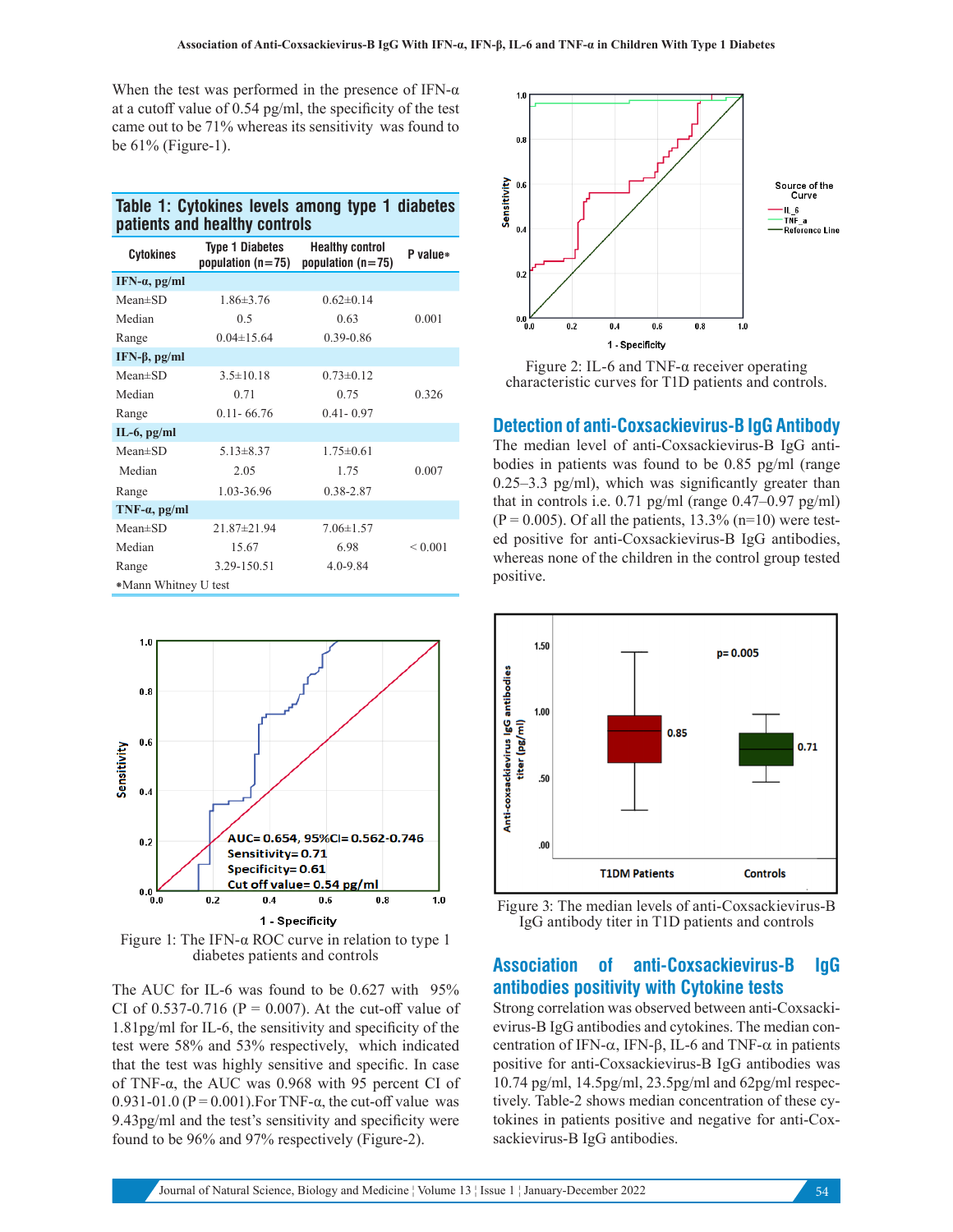When the test was performed in the presence of IFN- $\alpha$ at a cutoff value of 0.54 pg/ml, the specificity of the test came out to be 71% whereas its sensitivity was found to be 61% (Figure-1).

| Table 1: Cytokines levels among type 1 diabetes |  |  |  |
|-------------------------------------------------|--|--|--|
| patients and healthy controls                   |  |  |  |

| <b>Cytokines</b>      | <b>Type 1 Diabetes</b><br>population $(n=75)$ | <b>Healthy control</b><br>population $(n=75)$ | P value*     |
|-----------------------|-----------------------------------------------|-----------------------------------------------|--------------|
| IFN- $\alpha$ , pg/ml |                                               |                                               |              |
| $Mean \pm SD$         | $1.86 \pm 3.76$                               | $0.62 \pm 0.14$                               |              |
| Median                | 0.5                                           | 0.63                                          | 0.001        |
| Range                 | $0.04 \pm 15.64$                              | $0.39 - 0.86$                                 |              |
| IFN-β, $pg/ml$        |                                               |                                               |              |
| $Mean \pm SD$         | $3.5 \pm 10.18$                               | $0.73 \pm 0.12$                               |              |
| Median                | 0.71                                          | 0.75                                          | 0.326        |
| Range                 | $0.11 - 66.76$                                | $0.41 - 0.97$                                 |              |
| $IL-6$ , $pg/ml$      |                                               |                                               |              |
| $Mean \pm SD$         | $5.13 \pm 8.37$                               | $1.75 \pm 0.61$                               |              |
| Median                | 2.05                                          | 1.75                                          | 0.007        |
| Range                 | 1.03-36.96                                    | 0.38-2.87                                     |              |
| TNF- $\alpha$ , pg/ml |                                               |                                               |              |
| $Mean \pm SD$         | $21.87 \pm 21.94$                             | $7.06 \pm 1.57$                               |              |
| Median                | 15.67                                         | 6.98                                          | ${}_{0.001}$ |
| Range                 | 3.29-150.51                                   | $4.0 - 9.84$                                  |              |
| *Mann Whitney U test  |                                               |                                               |              |



Figure 1: The IFN- $\alpha$  ROC curve in relation to type 1 diabetes patients and controls

The AUC for IL-6 was found to be 0.627 with 95% CI of 0.537-0.716 ( $P = 0.007$ ). At the cut-off value of 1.81pg/ml for IL-6, the sensitivity and specificity of the test were 58% and 53% respectively, which indicated that the test was highly sensitive and specific. In case of TNF-α, the AUC was 0.968 with 95 percent CI of 0.931-01.0 ( $P = 0.001$ ). For TNF- $\alpha$ , the cut-off value was 9.43pg/ml and the test's sensitivity and specificity were found to be 96% and 97% respectively (Figure-2).



Figure 2: IL-6 and TNF-α receiver operating characteristic curves for T1D patients and controls.

#### **Detection of anti-Coxsackievirus-B IgG Antibody**

The median level of anti-Coxsackievirus-B IgG antibodies in patients was found to be 0.85 pg/ml (range 0.25–3.3 pg/ml), which was significantly greater than that in controls i.e.  $0.71$  pg/ml (range  $0.47-0.97$  pg/ml)  $(P = 0.005)$ . Of all the patients, 13.3% (n=10) were tested positive for anti-Coxsackievirus-B IgG antibodies, whereas none of the children in the control group tested positive.





# **Association of anti-Coxsackievirus-B IgG antibodies positivity with Cytokine tests**

Strong correlation was observed between anti-Coxsackievirus-B IgG antibodies and cytokines. The median concentration of IFN-α, IFN-β, IL-6 and TNF-α in patients positive for anti-Coxsackievirus-B IgG antibodies was 10.74 pg/ml, 14.5pg/ml, 23.5pg/ml and 62pg/ml respectively. Table-2 shows median concentration of these cytokines in patients positive and negative for anti-Coxsackievirus-B IgG antibodies.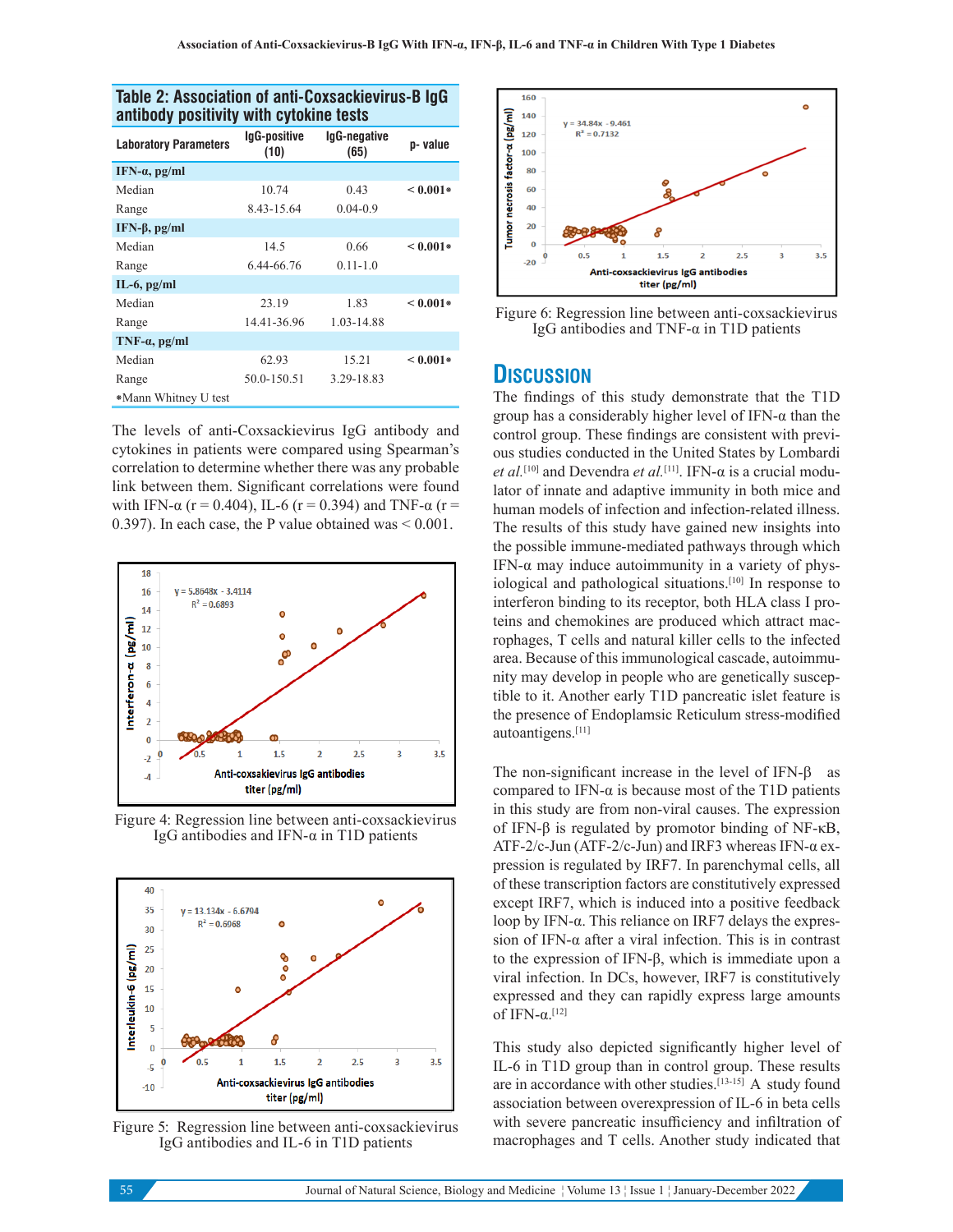|                              | and bookers with offering tools |                      |            |  |  |
|------------------------------|---------------------------------|----------------------|------------|--|--|
| <b>Laboratory Parameters</b> | IgG-positive<br>(10)            | lgG-negative<br>(65) | p-value    |  |  |
| IFN- $\alpha$ , pg/ml        |                                 |                      |            |  |  |
| Median                       | 10.74                           | 0.43                 | $< 0.001*$ |  |  |
| Range                        | 8.43-15.64                      | $0.04 - 0.9$         |            |  |  |
| IFN-β, pg/ml                 |                                 |                      |            |  |  |
| Median                       | 14.5                            | 0.66                 | $< 0.001*$ |  |  |
| Range                        | 6.44-66.76                      | $0.11 - 1.0$         |            |  |  |
| $IL-6$ , $pg/ml$             |                                 |                      |            |  |  |
| Median                       | 23.19                           | 1.83                 | $< 0.001*$ |  |  |
| Range                        | 14.41-36.96                     | 1.03-14.88           |            |  |  |
| $TNF-a$ , pg/ml              |                                 |                      |            |  |  |
| Median                       | 62.93                           | 15.21                | $< 0.001*$ |  |  |
| Range                        | 50.0-150.51                     | 3.29-18.83           |            |  |  |
| *Mann Whitney U test         |                                 |                      |            |  |  |
|                              |                                 |                      |            |  |  |

### **Table 2: Association of anti-Coxsackievirus-B IgG antibody positivity with cytokine tests**

The levels of anti-Coxsackievirus IgG antibody and cytokines in patients were compared using Spearman's correlation to determine whether there was any probable link between them. Significant correlations were found with IFN- $\alpha$  (r = 0.404), IL-6 (r = 0.394) and TNF- $\alpha$  (r = 0.397). In each case, the P value obtained was  $\leq 0.001$ .



Figure 4: Regression line between anti-coxsackievirus IgG antibodies and IFN-α in T1D patients



Figure 5: Regression line between anti-coxsackievirus IgG antibodies and IL-6 in T1D patients



Figure 6: Regression line between anti-coxsackievirus IgG antibodies and TNF-α in T1D patients

## **DISCUSSION**

The findings of this study demonstrate that the T1D group has a considerably higher level of IFN-α than the control group. These findings are consistent with previous studies conducted in the United States by Lombardi *et al.*[10] and Devendra *et al.*[11]. IFN-α is a crucial modulator of innate and adaptive immunity in both mice and human models of infection and infection-related illness. The results of this study have gained new insights into the possible immune-mediated pathways through which IFN-α may induce autoimmunity in a variety of physiological and pathological situations.[10] In response to interferon binding to its receptor, both HLA class I proteins and chemokines are produced which attract macrophages, T cells and natural killer cells to the infected area. Because of this immunological cascade, autoimmunity may develop in people who are genetically susceptible to it. Another early T1D pancreatic islet feature is the presence of Endoplamsic Reticulum stress-modified autoantigens.[11]

The non-significant increase in the level of IFN-β as compared to IFN-α is because most of the T1D patients in this study are from non-viral causes. The expression of IFN-β is regulated by promotor binding of NF-κB, ATF-2/c-Jun (ATF-2/c-Jun) and IRF3 whereas IFN-α expression is regulated by IRF7. In parenchymal cells, all of these transcription factors are constitutively expressed except IRF7, which is induced into a positive feedback loop by IFN-α. This reliance on IRF7 delays the expression of IFN-α after a viral infection. This is in contrast to the expression of IFN-β, which is immediate upon a viral infection. In DCs, however, IRF7 is constitutively expressed and they can rapidly express large amounts of IFN- $α$ <sup>[12]</sup>

This study also depicted significantly higher level of IL-6 in T1D group than in control group. These results are in accordance with other studies.<sup>[13-15]</sup> A study found association between overexpression of IL-6 in beta cells with severe pancreatic insufficiency and infiltration of macrophages and T cells. Another study indicated that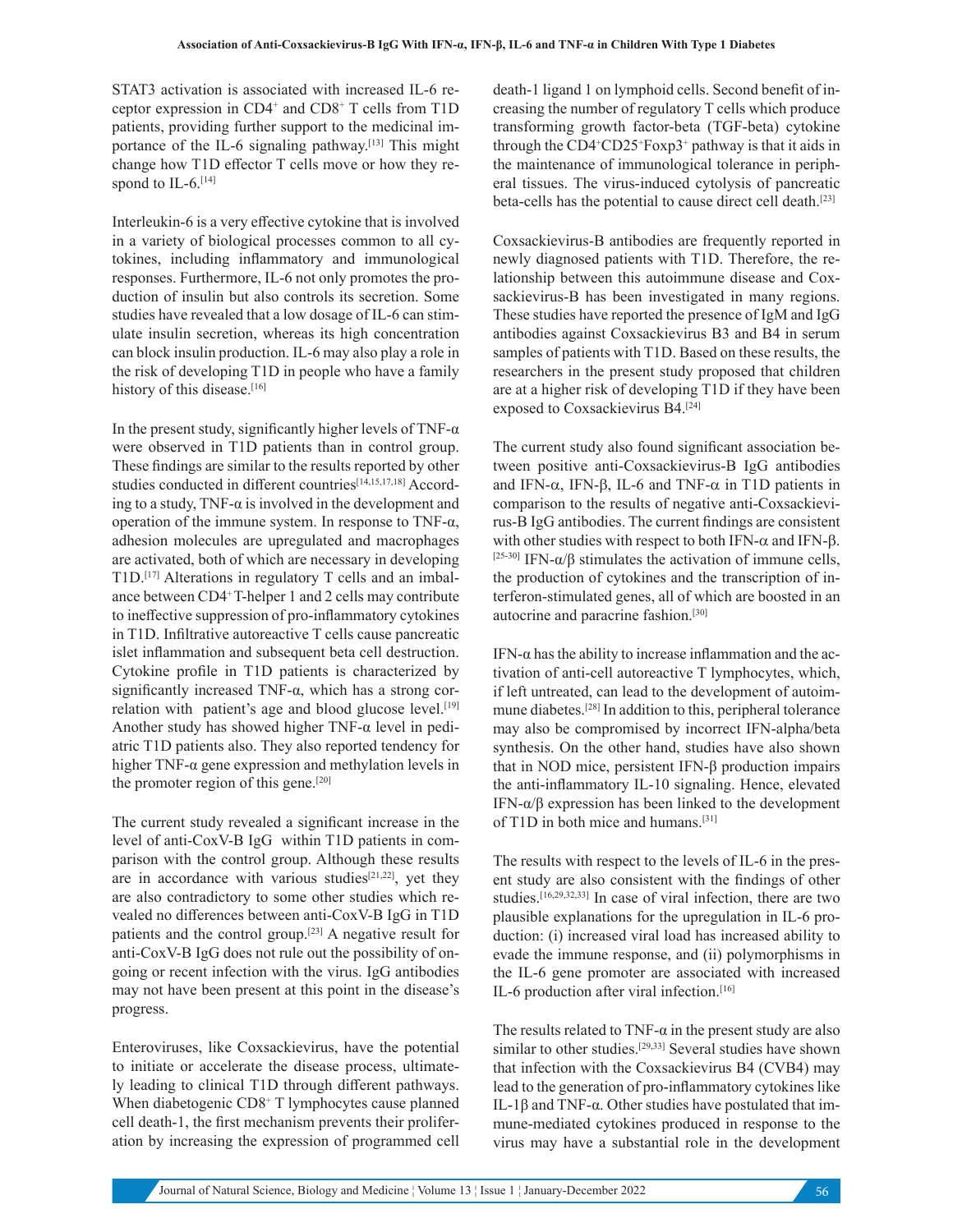STAT3 activation is associated with increased IL-6 receptor expression in CD4+ and CD8+ T cells from T1D patients, providing further support to the medicinal importance of the IL-6 signaling pathway.<sup>[13]</sup> This might change how T1D effector T cells move or how they respond to IL-6.<sup>[14]</sup>

Interleukin-6 is a very effective cytokine that is involved in a variety of biological processes common to all cytokines, including inflammatory and immunological responses. Furthermore, IL-6 not only promotes the production of insulin but also controls its secretion. Some studies have revealed that a low dosage of IL-6 can stimulate insulin secretion, whereas its high concentration can block insulin production. IL-6 may also play a role in the risk of developing T1D in people who have a family history of this disease.[16]

In the present study, significantly higher levels of TNF- $\alpha$ were observed in T1D patients than in control group. These findings are similar to the results reported by other studies conducted in different countries<sup>[14,15,17,18]</sup> According to a study, TNF- $\alpha$  is involved in the development and operation of the immune system. In response to TNF-α, adhesion molecules are upregulated and macrophages are activated, both of which are necessary in developing T1D.[17] Alterations in regulatory T cells and an imbalance between CD4+ T-helper 1 and 2 cells may contribute to ineffective suppression of pro-inflammatory cytokines in T1D. Infiltrative autoreactive T cells cause pancreatic islet inflammation and subsequent beta cell destruction. Cytokine profile in T1D patients is characterized by significantly increased TNF-α, which has a strong correlation with patient's age and blood glucose level.<sup>[19]</sup> Another study has showed higher TNF- $\alpha$  level in pediatric T1D patients also. They also reported tendency for higher TNF-α gene expression and methylation levels in the promoter region of this gene.<sup>[20]</sup>

The current study revealed a significant increase in the level of anti-CoxV-B IgG within T1D patients in comparison with the control group. Although these results are in accordance with various studies<sup>[21,22]</sup>, yet they are also contradictory to some other studies which revealed no differences between anti-CoxV-B IgG in T1D patients and the control group.[23] A negative result for anti-CoxV-B IgG does not rule out the possibility of ongoing or recent infection with the virus. IgG antibodies may not have been present at this point in the disease's progress.

Enteroviruses, like Coxsackievirus, have the potential to initiate or accelerate the disease process, ultimately leading to clinical T1D through different pathways. When diabetogenic CD8+ T lymphocytes cause planned cell death-1, the first mechanism prevents their proliferation by increasing the expression of programmed cell

death-1 ligand 1 on lymphoid cells. Second benefit of increasing the number of regulatory T cells which produce transforming growth factor-beta (TGF-beta) cytokine through the CD4<sup>+</sup>CD25<sup>+</sup>Foxp3<sup>+</sup> pathway is that it aids in the maintenance of immunological tolerance in peripheral tissues. The virus-induced cytolysis of pancreatic beta-cells has the potential to cause direct cell death.[23]

Coxsackievirus-B antibodies are frequently reported in newly diagnosed patients with T1D. Therefore, the relationship between this autoimmune disease and Coxsackievirus-B has been investigated in many regions. These studies have reported the presence of IgM and IgG antibodies against Coxsackievirus B3 and B4 in serum samples of patients with T1D. Based on these results, the researchers in the present study proposed that children are at a higher risk of developing T1D if they have been exposed to Coxsackievirus B4.<sup>[24]</sup>

The current study also found significant association between positive anti-Coxsackievirus-B IgG antibodies and IFN- $\alpha$ , IFN- $\beta$ , IL-6 and TNF- $\alpha$  in T1D patients in comparison to the results of negative anti-Coxsackievirus-B IgG antibodies. The current findings are consistent with other studies with respect to both IFN- $\alpha$  and IFN- $\beta$ . <sup>[25-30]</sup> IFN- $\alpha/\beta$  stimulates the activation of immune cells, the production of cytokines and the transcription of interferon-stimulated genes, all of which are boosted in an autocrine and paracrine fashion.<sup>[30]</sup>

IFN- $\alpha$  has the ability to increase inflammation and the activation of anti-cell autoreactive T lymphocytes, which, if left untreated, can lead to the development of autoimmune diabetes.[28] In addition to this, peripheral tolerance may also be compromised by incorrect IFN-alpha/beta synthesis. On the other hand, studies have also shown that in NOD mice, persistent IFN-β production impairs the anti-inflammatory IL-10 signaling. Hence, elevated IFN-α/β expression has been linked to the development of T1D in both mice and humans.[31]

The results with respect to the levels of IL-6 in the present study are also consistent with the findings of other studies.[16,29,32,33] In case of viral infection, there are two plausible explanations for the upregulation in IL-6 production: (i) increased viral load has increased ability to evade the immune response, and (ii) polymorphisms in the IL-6 gene promoter are associated with increased IL-6 production after viral infection.<sup>[16]</sup>

The results related to TNF- $\alpha$  in the present study are also similar to other studies.<sup>[29,33]</sup> Several studies have shown that infection with the Coxsackievirus B4 (CVB4) may lead to the generation of pro-inflammatory cytokines like IL-1β and TNF-α. Other studies have postulated that immune-mediated cytokines produced in response to the virus may have a substantial role in the development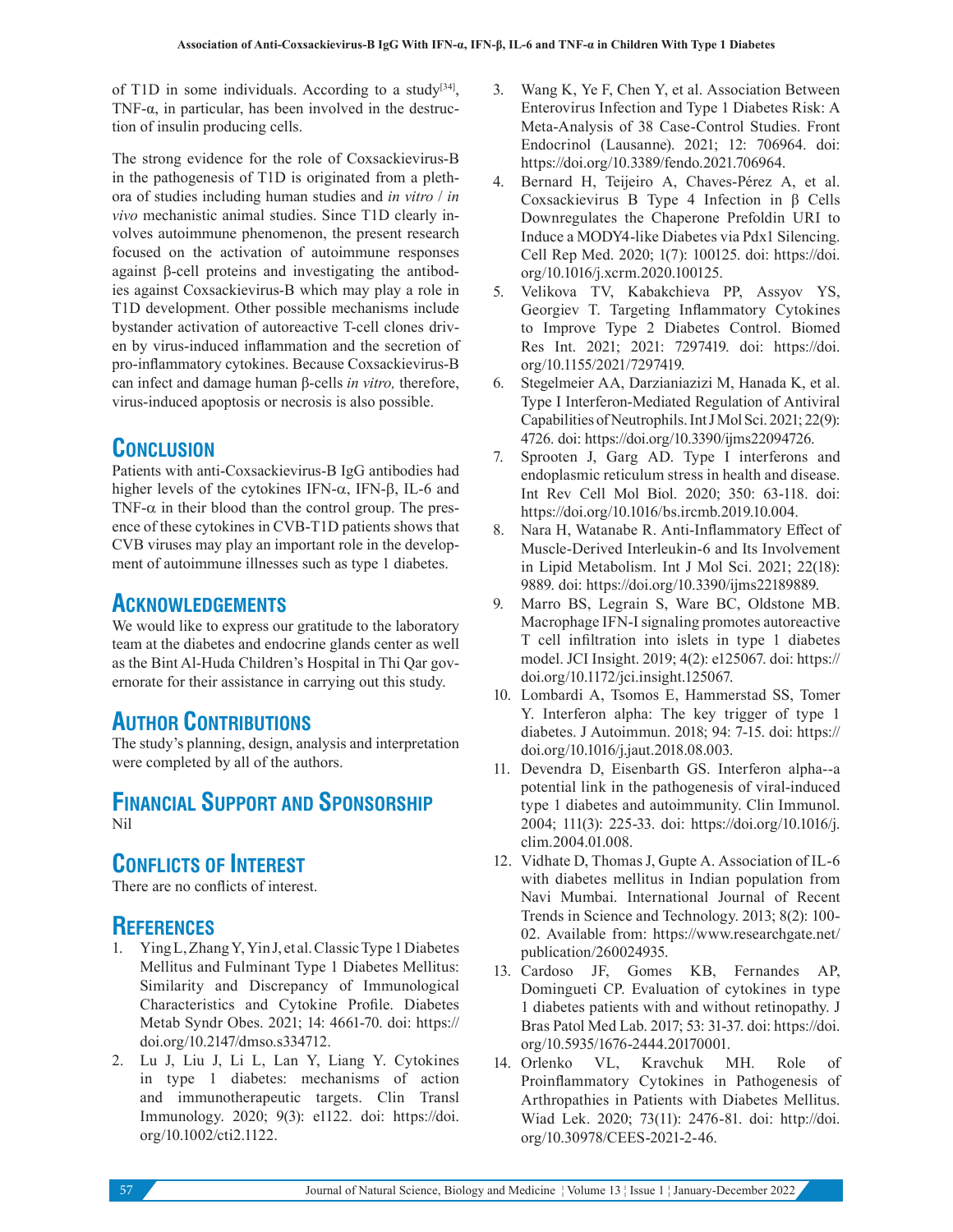of T1D in some individuals. According to a study[34], TNF- $\alpha$ , in particular, has been involved in the destruction of insulin producing cells.

The strong evidence for the role of Coxsackievirus-B in the pathogenesis of T1D is originated from a plethora of studies including human studies and *in vitro* / *in vivo* mechanistic animal studies. Since T1D clearly involves autoimmune phenomenon, the present research focused on the activation of autoimmune responses against β-cell proteins and investigating the antibodies against Coxsackievirus-B which may play a role in T1D development. Other possible mechanisms include bystander activation of autoreactive T-cell clones driven by virus-induced inflammation and the secretion of pro-inflammatory cytokines. Because Coxsackievirus-B can infect and damage human β-cells *in vitro,* therefore, virus-induced apoptosis or necrosis is also possible.

# **CONCLUSION**

Patients with anti-Coxsackievirus-B IgG antibodies had higher levels of the cytokines IFN- $\alpha$ , IFN-β, IL-6 and TNF- $\alpha$  in their blood than the control group. The presence of these cytokines in CVB-T1D patients shows that CVB viruses may play an important role in the development of autoimmune illnesses such as type 1 diabetes.

# **ACKNOWLEDGEMENTS**

We would like to express our gratitude to the laboratory team at the diabetes and endocrine glands center as well as the Bint Al-Huda Children's Hospital in Thi Qar governorate for their assistance in carrying out this study.

# **AUTHOR CONTRIBUTIONS**

The study's planning, design, analysis and interpretation were completed by all of the authors.

# **FINANCIAL SUPPORT AND SPONSORSHIP** Nil

# **CONFLICTS OF INTEREST**

There are no conflicts of interest.

# **REFERENCES**

- Ying L, Zhang Y, Yin J, et al. Classic Type 1 Diabetes Mellitus and Fulminant Type 1 Diabetes Mellitus: Similarity and Discrepancy of Immunological Characteristics and Cytokine Profile. Diabetes Metab Syndr Obes. 2021; 14: 4661-70. doi: https:// doi.org/10.2147/dmso.s334712.
- 2. Lu J, Liu J, Li L, Lan Y, Liang Y. Cytokines in type 1 diabetes: mechanisms of action and immunotherapeutic targets. Clin Transl Immunology. 2020; 9(3): e1122. doi: https://doi. org/10.1002/cti2.1122.
- 3. Wang K, Ye F, Chen Y, et al. Association Between Enterovirus Infection and Type 1 Diabetes Risk: A Meta-Analysis of 38 Case-Control Studies. Front Endocrinol (Lausanne). 2021; 12: 706964. doi: https://doi.org/10.3389/fendo.2021.706964.
- 4. Bernard H, Teijeiro A, Chaves-Pérez A, et al. Coxsackievirus B Type 4 Infection in β Cells Downregulates the Chaperone Prefoldin URI to Induce a MODY4-like Diabetes via Pdx1 Silencing. Cell Rep Med. 2020; 1(7): 100125. doi: https://doi. org/10.1016/j.xcrm.2020.100125.
- 5. Velikova TV, Kabakchieva PP, Assyov YS, Georgiev T. Targeting Inflammatory Cytokines to Improve Type 2 Diabetes Control. Biomed Res Int. 2021; 2021: 7297419. doi: https://doi. org/10.1155/2021/7297419.
- 6. Stegelmeier AA, Darzianiazizi M, Hanada K, et al. Type I Interferon-Mediated Regulation of Antiviral Capabilities of Neutrophils. Int J Mol Sci. 2021; 22(9): 4726. doi: https://doi.org/10.3390/ijms22094726.
- 7. Sprooten J, Garg AD. Type I interferons and endoplasmic reticulum stress in health and disease. Int Rev Cell Mol Biol. 2020; 350: 63-118. doi: https://doi.org/10.1016/bs.ircmb.2019.10.004.
- 8. Nara H, Watanabe R. Anti-Inflammatory Effect of Muscle-Derived Interleukin-6 and Its Involvement in Lipid Metabolism. Int J Mol Sci. 2021; 22(18): 9889. doi: https://doi.org/10.3390/ijms22189889.
- 9. Marro BS, Legrain S, Ware BC, Oldstone MB. Macrophage IFN-I signaling promotes autoreactive T cell infiltration into islets in type 1 diabetes model. JCI Insight. 2019; 4(2): e125067. doi: https:// doi.org/10.1172/jci.insight.125067.
- 10. Lombardi A, Tsomos E, Hammerstad SS, Tomer Y. Interferon alpha: The key trigger of type 1 diabetes. J Autoimmun. 2018; 94: 7-15. doi: https:// doi.org/10.1016/j.jaut.2018.08.003.
- 11. Devendra D, Eisenbarth GS. Interferon alpha--a potential link in the pathogenesis of viral-induced type 1 diabetes and autoimmunity. Clin Immunol. 2004; 111(3): 225-33. doi: https://doi.org/10.1016/j. clim.2004.01.008.
- 12. Vidhate D, Thomas J, Gupte A. Association of IL-6 with diabetes mellitus in Indian population from Navi Mumbai. International Journal of Recent Trends in Science and Technology. 2013; 8(2): 100- 02. Available from: https://www.researchgate.net/ publication/260024935.
- 13. Cardoso JF, Gomes KB, Fernandes AP, Domingueti CP. Evaluation of cytokines in type 1 diabetes patients with and without retinopathy. J Bras Patol Med Lab. 2017; 53: 31-37. doi: https://doi. org/10.5935/1676-2444.20170001.
- 14. Orlenko VL, Kravchuk MH. Role of Proinflammatory Cytokines in Pathogenesis of Arthropathies in Patients with Diabetes Mellitus. Wiad Lek. 2020; 73(11): 2476-81. doi: http://doi. org/10.30978/CEES-2021-2-46.